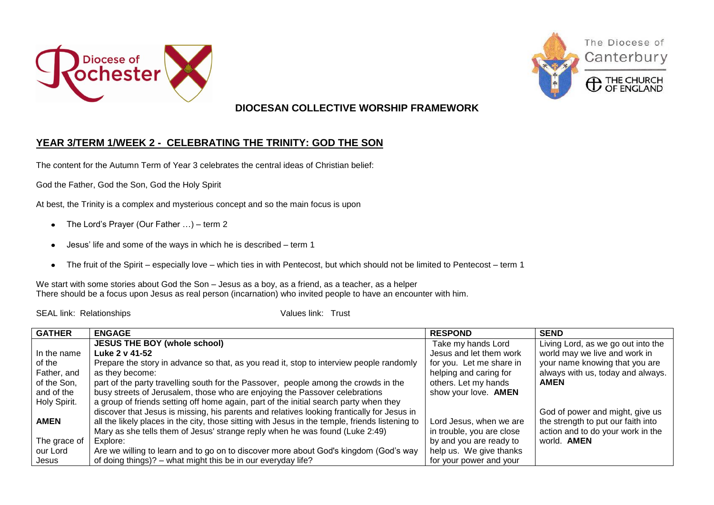





Canterbury

## **DIOCESAN COLLECTIVE WORSHIP FRAMEWORK**

## **YEAR 3/TERM 1/WEEK 2 - CELEBRATING THE TRINITY: GOD THE SON**

The content for the Autumn Term of Year 3 celebrates the central ideas of Christian belief:

God the Father, God the Son, God the Holy Spirit

At best, the Trinity is a complex and mysterious concept and so the main focus is upon

- The Lord's Prayer (Our Father …) term 2
- Jesus' life and some of the ways in which he is described term 1  $\bullet$
- The fruit of the Spirit especially love which ties in with Pentecost, but which should not be limited to Pentecost term 1  $\bullet$

We start with some stories about God the Son – Jesus as a boy, as a friend, as a teacher, as a helper There should be a focus upon Jesus as real person (incarnation) who invited people to have an encounter with him.

SEAL link: Relationships Values link: Trust

| <b>GATHER</b> | <b>ENGAGE</b>                                                                                   | <b>RESPOND</b>            | <b>SEND</b>                        |
|---------------|-------------------------------------------------------------------------------------------------|---------------------------|------------------------------------|
|               | <b>JESUS THE BOY (whole school)</b>                                                             | Take my hands Lord        | Living Lord, as we go out into the |
| In the name   | Luke 2 v 41-52                                                                                  | Jesus and let them work   | world may we live and work in      |
| of the        | Prepare the story in advance so that, as you read it, stop to interview people randomly         | for you. Let me share in  | your name knowing that you are     |
| Father, and   | as they become:                                                                                 | helping and caring for    | always with us, today and always.  |
| of the Son,   | part of the party travelling south for the Passover, people among the crowds in the             | others. Let my hands      | <b>AMEN</b>                        |
| and of the    | busy streets of Jerusalem, those who are enjoying the Passover celebrations                     | show your love. AMEN      |                                    |
| Holy Spirit.  | a group of friends setting off home again, part of the initial search party when they           |                           |                                    |
|               | discover that Jesus is missing, his parents and relatives looking frantically for Jesus in      |                           | God of power and might, give us    |
| <b>AMEN</b>   | all the likely places in the city, those sitting with Jesus in the temple, friends listening to | Lord Jesus, when we are   | the strength to put our faith into |
|               | Mary as she tells them of Jesus' strange reply when he was found (Luke 2:49)                    | in trouble, you are close | action and to do your work in the  |
| The grace of  | Explore:                                                                                        | by and you are ready to   | world. <b>AMEN</b>                 |
| our Lord      | Are we willing to learn and to go on to discover more about God's kingdom (God's way            | help us. We give thanks   |                                    |
| Jesus         | of doing things)? – what might this be in our everyday life?                                    | for your power and your   |                                    |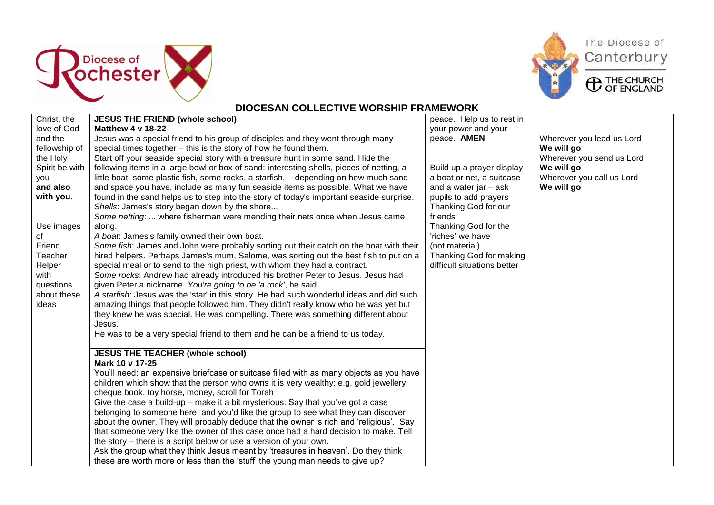





**CD** THE CHURCH



| Christ, the    | <b>JESUS THE FRIEND (whole school)</b>                                                   | peace. Help us to rest in   |                           |
|----------------|------------------------------------------------------------------------------------------|-----------------------------|---------------------------|
| love of God    | <b>Matthew 4 v 18-22</b>                                                                 | your power and your         |                           |
| and the        | Jesus was a special friend to his group of disciples and they went through many          | peace. AMEN                 | Wherever you lead us Lord |
| fellowship of  | special times together - this is the story of how he found them.                         |                             | We will go                |
| the Holy       | Start off your seaside special story with a treasure hunt in some sand. Hide the         |                             | Wherever you send us Lord |
| Spirit be with | following items in a large bowl or box of sand: interesting shells, pieces of netting, a | Build up a prayer display - | We will go                |
| vou            | little boat, some plastic fish, some rocks, a starfish, - depending on how much sand     | a boat or net, a suitcase   | Wherever you call us Lord |
| and also       | and space you have, include as many fun seaside items as possible. What we have          | and a water jar $-$ ask     | We will go                |
| with you.      | found in the sand helps us to step into the story of today's important seaside surprise. | pupils to add prayers       |                           |
|                | Shells: James's story began down by the shore                                            | Thanking God for our        |                           |
|                | Some netting:  where fisherman were mending their nets once when Jesus came              | friends                     |                           |
| Use images     | along.                                                                                   | Thanking God for the        |                           |
| 0f             | A boat. James's family owned their own boat.                                             | 'riches' we have            |                           |
| Friend         | Some fish: James and John were probably sorting out their catch on the boat with their   | (not material)              |                           |
| Teacher        | hired helpers. Perhaps James's mum, Salome, was sorting out the best fish to put on a    | Thanking God for making     |                           |
| Helper         | special meal or to send to the high priest, with whom they had a contract.               | difficult situations better |                           |
| with           | Some rocks: Andrew had already introduced his brother Peter to Jesus. Jesus had          |                             |                           |
| questions      | given Peter a nickname. You're going to be 'a rock', he said.                            |                             |                           |
| about these    | A starfish: Jesus was the 'star' in this story. He had such wonderful ideas and did such |                             |                           |
| ideas          | amazing things that people followed him. They didn't really know who he was yet but      |                             |                           |
|                | they knew he was special. He was compelling. There was something different about         |                             |                           |
|                | Jesus.                                                                                   |                             |                           |
|                | He was to be a very special friend to them and he can be a friend to us today.           |                             |                           |
|                | <b>JESUS THE TEACHER (whole school)</b>                                                  |                             |                           |
|                | Mark 10 v 17-25                                                                          |                             |                           |
|                | You'll need: an expensive briefcase or suitcase filled with as many objects as you have  |                             |                           |
|                | children which show that the person who owns it is very wealthy: e.g. gold jewellery,    |                             |                           |
|                | cheque book, toy horse, money, scroll for Torah                                          |                             |                           |
|                | Give the case a build-up – make it a bit mysterious. Say that you've got a case          |                             |                           |
|                | belonging to someone here, and you'd like the group to see what they can discover        |                             |                           |
|                | about the owner. They will probably deduce that the owner is rich and 'religious'. Say   |                             |                           |
|                | that someone very like the owner of this case once had a hard decision to make. Tell     |                             |                           |
|                | the story – there is a script below or use a version of your own.                        |                             |                           |
|                | Ask the group what they think Jesus meant by 'treasures in heaven'. Do they think        |                             |                           |
|                | these are worth more or less than the 'stuff' the young man needs to give up?            |                             |                           |